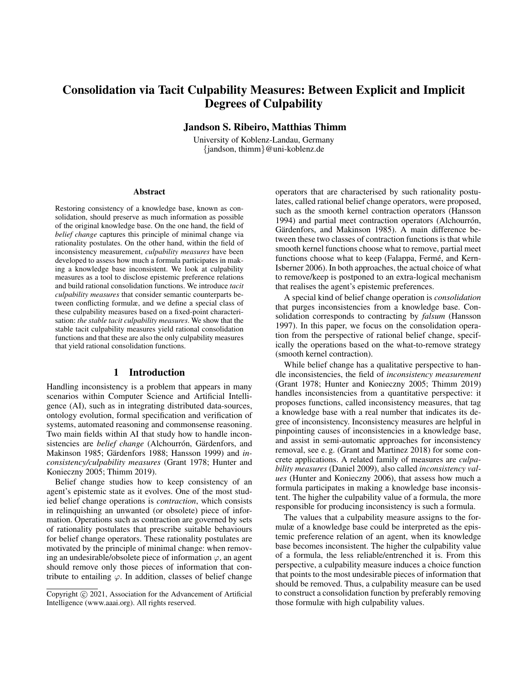# Consolidation via Tacit Culpability Measures: Between Explicit and Implicit Degrees of Culpability

Jandson S. Ribeiro, Matthias Thimm

University of Koblenz-Landau, Germany {jandson, thimm}@uni-koblenz.de

#### Abstract

Restoring consistency of a knowledge base, known as consolidation, should preserve as much information as possible of the original knowledge base. On the one hand, the field of *belief change* captures this principle of minimal change via rationality postulates. On the other hand, within the field of inconsistency measurement, *culpability measures* have been developed to assess how much a formula participates in making a knowledge base inconsistent. We look at culpability measures as a tool to disclose epistemic preference relations and build rational consolidation functions. We introduce *tacit culpability measures* that consider semantic counterparts between conflicting formulæ, and we define a special class of these culpability measures based on a fixed-point characterisation: *the stable tacit culpability measures*. We show that the stable tacit culpability measures yield rational consolidation functions and that these are also the only culpability measures that yield rational consolidation functions.

#### 1 Introduction

Handling inconsistency is a problem that appears in many scenarios within Computer Science and Artificial Intelligence (AI), such as in integrating distributed data-sources, ontology evolution, formal specification and verification of systems, automated reasoning and commonsense reasoning. Two main fields within AI that study how to handle inconsistencies are *belief change* (Alchourrón, Gärdenfors, and Makinson 1985; Gärdenfors 1988; Hansson 1999) and *inconsistency/culpability measures* (Grant 1978; Hunter and Konieczny 2005; Thimm 2019).

Belief change studies how to keep consistency of an agent's epistemic state as it evolves. One of the most studied belief change operations is *contraction*, which consists in relinquishing an unwanted (or obsolete) piece of information. Operations such as contraction are governed by sets of rationality postulates that prescribe suitable behaviours for belief change operators. These rationality postulates are motivated by the principle of minimal change: when removing an undesirable/obsolete piece of information  $\varphi$ , an agent should remove only those pieces of information that contribute to entailing  $\varphi$ . In addition, classes of belief change

operators that are characterised by such rationality postulates, called rational belief change operators, were proposed, such as the smooth kernel contraction operators (Hansson 1994) and partial meet contraction operators (Alchourrón, Gärdenfors, and Makinson 1985). A main difference between these two classes of contraction functions is that while smooth kernel functions choose what to remove, partial meet functions choose what to keep (Falappa, Fermé, and Kern-Isberner 2006). In both approaches, the actual choice of what to remove/keep is postponed to an extra-logical mechanism that realises the agent's epistemic preferences.

A special kind of belief change operation is *consolidation* that purges inconsistencies from a knowledge base. Consolidation corresponds to contracting by *falsum* (Hansson 1997). In this paper, we focus on the consolidation operation from the perspective of rational belief change, specifically the operations based on the what-to-remove strategy (smooth kernel contraction).

While belief change has a qualitative perspective to handle inconsistencies, the field of *inconsistency measurement* (Grant 1978; Hunter and Konieczny 2005; Thimm 2019) handles inconsistencies from a quantitative perspective: it proposes functions, called inconsistency measures, that tag a knowledge base with a real number that indicates its degree of inconsistency. Inconsistency measures are helpful in pinpointing causes of inconsistencies in a knowledge base, and assist in semi-automatic approaches for inconsistency removal, see e. g. (Grant and Martinez 2018) for some concrete applications. A related family of measures are *culpability measures* (Daniel 2009), also called *inconsistency values* (Hunter and Konieczny 2006), that assess how much a formula participates in making a knowledge base inconsistent. The higher the culpability value of a formula, the more responsible for producing inconsistency is such a formula.

The values that a culpability measure assigns to the formulæ of a knowledge base could be interpreted as the epistemic preference relation of an agent, when its knowledge base becomes inconsistent. The higher the culpability value of a formula, the less reliable/entrenched it is. From this perspective, a culpability measure induces a choice function that points to the most undesirable pieces of information that should be removed. Thus, a culpability measure can be used to construct a consolidation function by preferably removing those formulæ with high culpability values.

Copyright  $\odot$  2021, Association for the Advancement of Artificial Intelligence (www.aaai.org). All rights reserved.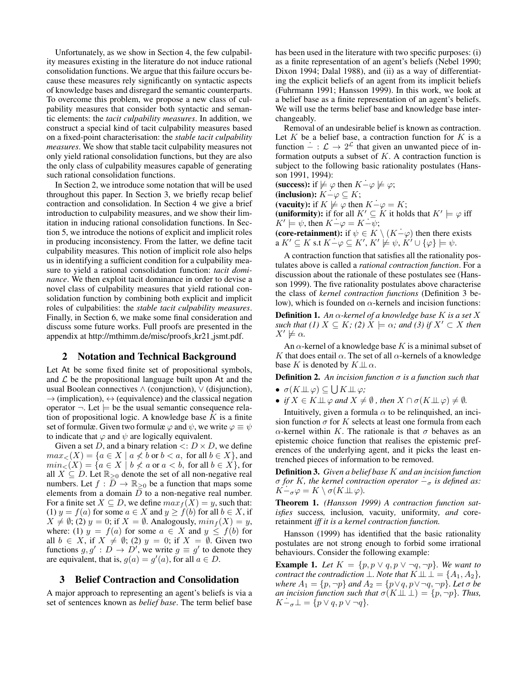Unfortunately, as we show in Section 4, the few culpability measures existing in the literature do not induce rational consolidation functions. We argue that this failure occurs because these measures rely significantly on syntactic aspects of knowledge bases and disregard the semantic counterparts. To overcome this problem, we propose a new class of culpability measures that consider both syntactic and semantic elements: the *tacit culpability measures*. In addition, we construct a special kind of tacit culpability measures based on a fixed-point characterisation: the *stable tacit culpability measures*. We show that stable tacit culpability measures not only yield rational consolidation functions, but they are also the only class of culpability measures capable of generating such rational consolidation functions.

In Section 2, we introduce some notation that will be used throughout this paper. In Section 3, we briefly recap belief contraction and consolidation. In Section 4 we give a brief introduction to culpability measures, and we show their limitation in inducing rational consolidation functions. In Section 5, we introduce the notions of explicit and implicit roles in producing inconsistency. From the latter, we define tacit culpability measures. This notion of implicit role also helps us in identifying a sufficient condition for a culpability measure to yield a rational consolidation function: *tacit dominance*. We then exploit tacit dominance in order to devise a novel class of culpability measures that yield rational consolidation function by combining both explicit and implicit roles of culpabilities: the *stable tacit culpability measures*. Finally, in Section 6, we make some final consideration and discuss some future works. Full proofs are presented in the appendix at http://mthimm.de/misc/proofs kr21 jsmt.pdf.

#### 2 Notation and Technical Background

Let At be some fixed finite set of propositional symbols, and  $\mathcal L$  be the propositional language built upon At and the usual Boolean connectives  $\wedge$  (conjunction),  $\vee$  (disjunction),  $\rightarrow$  (implication),  $\leftrightarrow$  (equivalence) and the classical negation operator  $\neg$ . Let  $\models$  be the usual semantic consequence relation of propositional logic. A knowledge base  $K$  is a finite set of formulæ. Given two formulæ  $\varphi$  and  $\psi$ , we write  $\varphi \equiv \psi$ to indicate that  $\varphi$  and  $\psi$  are logically equivalent.

Given a set D, and a binary relation  $\langle : D \times D$ , we define  $max_{\leq}(X) = \{a \in X \mid a \nleq b \text{ or } b \leq a, \text{ for all } b \in X\},\$ and  $min_{\leq}(X) = \{a \in X \mid b \nleq a \text{ or } a < b, \text{ for all } b \in X\},\$ for all  $X \subseteq D$ . Let  $\mathbb{R}_{\geq 0}$  denote the set of all non-negative real numbers. Let  $f : \overline{D} \to \mathbb{R}_{\geq 0}$  be a function that maps some elements from a domain  $D$  to a non-negative real number. For a finite set  $X \subseteq D$ , we define  $max_f(X) = y$ , such that: (1)  $y = f(a)$  for some  $a \in X$  and  $y \ge f(b)$  for all  $b \in X$ , if  $X \neq \emptyset$ ; (2)  $y = 0$ ; if  $X = \emptyset$ . Analogously,  $min_f(X) = y$ , where: (1)  $y = f(a)$  for some  $a \in X$  and  $y \leq f(b)$  for all  $b \in X$ , if  $X \neq \emptyset$ ; (2)  $y = 0$ ; if  $X = \emptyset$ . Given two functions  $g, g' : D \to D'$ , we write  $g \equiv g'$  to denote they are equivalent, that is,  $g(a) = g'(a)$ , for all  $a \in D$ .

#### 3 Belief Contraction and Consolidation

A major approach to representing an agent's beliefs is via a set of sentences known as *belief base*. The term belief base

has been used in the literature with two specific purposes: (i) as a finite representation of an agent's beliefs (Nebel 1990; Dixon 1994; Dalal 1988), and (ii) as a way of differentiating the explicit beliefs of an agent from its implicit beliefs (Fuhrmann 1991; Hansson 1999). In this work, we look at a belief base as a finite representation of an agent's beliefs. We will use the terms belief base and knowledge base interchangeably.

Removal of an undesirable belief is known as contraction. Let  $K$  be a belief base, a contraction function for  $K$  is a function  $\vdots$   $\mathcal{L} \rightarrow 2^{\mathcal{L}}$  that given an unwanted piece of information outputs a subset of  $K$ . A contraction function is subject to the following basic rationality postulates (Hansson 1991, 1994):

(success): if  $\models \varphi$  then  $K-\varphi \not\models \varphi$ ;

(inclusion):  $K-\varphi \subseteq K$ ;

(vacuity): if  $K \not\models \varphi$  then  $K-\varphi = K$ ;

(uniformity): if for all  $K' \subseteq K$  it holds that  $K' \models \varphi$  iff  $K' \models \psi$ , then  $K-\varphi = K-\psi$ ;

(core-retainment): if  $\psi \in K \setminus (K-\varphi)$  then there exists a  $K'\subseteq K$  s.t  $K-\varphi\subseteq K',$   $K'\not\models\psi$ ,  $K'\cup\{\varphi\}\models\psi$ .

A contraction function that satisfies all the rationality postulates above is called a *rational contraction function*. For a discussion about the rationale of these postulates see (Hansson 1999). The five rationality postulates above characterise the class of *kernel contraction functions* (Definition 3 below), which is founded on  $\alpha$ -kernels and incision functions:

Definition 1. *An* α*-kernel of a knowledge base* K *is a set* X *such that (1)*  $X \subseteq K$ *; (2)*  $X \models \alpha$ *; and (3) if*  $X' \subset X$  *then*  $X' \not\models \alpha$ .

An  $\alpha$ -kernel of a knowledge base K is a minimal subset of K that does entail  $\alpha$ . The set of all  $\alpha$ -kernels of a knowledge base K is denoted by  $K \perp \!\!\! \perp \alpha$ .

**Definition 2.** An incision function  $\sigma$  is a function such that

- $\bullet$   $\sigma(K \perp\!\!\!\perp \varphi) \subseteq \bigcup K \perp\!\!\!\perp \varphi;$
- *if*  $X \in K \perp \!\!\! \perp \varphi$  *and*  $X \neq \emptyset$ *, then*  $X \cap \sigma(K \perp \!\!\! \perp \varphi) \neq \emptyset$ *.*

Intuitively, given a formula  $\alpha$  to be relinquished, an incision function  $\sigma$  for K selects at least one formula from each α-kernel within K. The rationale is that σ behaves as an epistemic choice function that realises the epistemic preferences of the underlying agent, and it picks the least entrenched pieces of information to be removed.

Definition 3. *Given a belief base* K *and an incision function*  $\sigma$  *for K, the kernel contraction operator*  $-\sigma$  *is defined as:*  $K-\sigma\varphi=K\setminus \sigma(K\!\perp\!\!\perp\varphi).$ 

Theorem 1. *(Hansson 1999) A contraction function satisfies* success*,* inclusion*,* vacuity*,* uniformity*, and* coreretainment *iff it is a kernel contraction function.*

Hansson (1999) has identified that the basic rationality postulates are not strong enough to forbid some irrational behaviours. Consider the following example:

**Example 1.** Let  $K = \{p, p \lor q, p \lor \neg q, \neg p\}$ . We want to *contract the contradiction*  $\bot$ *. Note that*  $K \perp \!\!\!\perp = \{A_1, A_2\}$ *, where*  $A_1 = \{p, \neg p\}$  *and*  $A_2 = \{p \lor q, p \lor \neg q, \neg p\}$ *. Let*  $\sigma$  *be an incision function such that*  $\sigma(K \perp \perp) = \{p, \neg p\}$ *. Thus,*  $K^{\dagger}_{\sigma} \mathcal{L} = \{ p \vee q, p \vee \neg q \}.$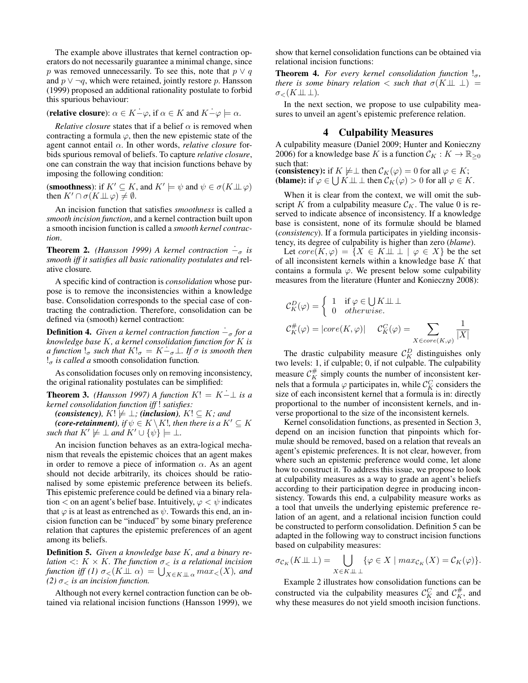The example above illustrates that kernel contraction operators do not necessarily guarantee a minimal change, since p was removed unnecessarily. To see this, note that  $p \vee q$ and  $p \lor \neg q$ , which were retained, jointly restore p. Hansson (1999) proposed an additional rationality postulate to forbid this spurious behaviour:

# (relative closure):  $\alpha \in K-\varphi$ , if  $\alpha \in K$  and  $K-\varphi \models \alpha$ .

*Relative closure* states that if a belief  $\alpha$  is removed when contracting a formula  $\varphi$ , then the new epistemic state of the agent cannot entail α. In other words, *relative closure* forbids spurious removal of beliefs. To capture *relative closure*, one can constrain the way that incision functions behave by imposing the following condition:

(smoothness): if  $K' \subseteq K$ , and  $K' \models \psi$  and  $\psi \in \sigma(K \perp \hspace*{-1mm}\perp \varphi)$ then  $K' \cap \sigma(K \perp\!\!\!\perp \varphi) \neq \emptyset$ .

An incision function that satisfies *smoothness* is called a *smooth incision function*, and a kernel contraction built upon a smooth incision function is called a *smooth kernel contraction*.

**Theorem 2.** *(Hansson 1999) A kernel contraction*  $-\sigma$  *is smooth iff it satisfies all basic rationality postulates and* relative closure*.*

A specific kind of contraction is *consolidation* whose purpose is to remove the inconsistencies within a knowledge base. Consolidation corresponds to the special case of contracting the contradiction. Therefore, consolidation can be defined via (smooth) kernel contraction:

**Definition 4.** *Given a kernel contraction function*  $-\sigma$  *for a knowledge base* K*, a kernel consolidation function for* K *is a function*  $!_{\sigma}$  *such that*  $K!_{\sigma} = K - \frac{1}{\sigma} \perp$ *. If*  $\sigma$  *is smooth then*  $\sigma$ *is called a* smooth consolidation function.

As consolidation focuses only on removing inconsistency, the original rationality postulates can be simplified:

**Theorem 3.** *(Hansson 1997)* A function  $K! = K-\perp$  is a *kernel consolidation function iff* ! *satisfies:*

*(consistency),*  $K! \not\models \bot$ *; (inclusion),*  $K! \subseteq K$ *; and* 

*(core-retainment), if*  $\psi \in K \backslash K!$ *, then there is a*  $K' \subseteq K$ *such that*  $K' \not\models \bot$  *and*  $K' \cup \{\psi\} \models \bot$ *.* 

An incision function behaves as an extra-logical mechanism that reveals the epistemic choices that an agent makes in order to remove a piece of information  $\alpha$ . As an agent should not decide arbitrarily, its choices should be rationalised by some epistemic preference between its beliefs. This epistemic preference could be defined via a binary relation  $\lt$  on an agent's belief base. Intuitively,  $\varphi \lt \psi$  indicates that  $\varphi$  is at least as entrenched as  $\psi$ . Towards this end, an incision function can be "induced" by some binary preference relation that captures the epistemic preferences of an agent among its beliefs.

Definition 5. *Given a knowledge base* K*, and a binary relation*  $\lt: K \times K$ *. The function*  $\sigma_{\lt}$  *is a relational incision function iff (1)*  $\sigma$ <sub><</sub> $(K \perp \perp \alpha) = \bigcup_{X \in K \perp \perp \alpha} max$ <sub><</sub> $(X)$ *, and (2)* σ<sup>&</sup>lt; *is an incision function.*

Although not every kernel contraction function can be obtained via relational incision functions (Hansson 1999), we show that kernel consolidation functions can be obtained via relational incision functions:

**Theorem 4.** *For every kernel consolidation function*  $!_{\sigma}$ , *there is some binary relation*  $\langle$  *such that*  $\sigma(K \perp \perp) =$  $\sigma$ <sub><</sub> $(K \perp \perp)$ .

In the next section, we propose to use culpability measures to unveil an agent's epistemic preference relation.

#### 4 Culpability Measures

A culpability measure (Daniel 2009; Hunter and Konieczny 2006) for a knowledge base K is a function  $\mathcal{C}_K : K \to \mathbb{R}_{\geq 0}$ such that:

(consistency): if  $K \not\models \perp$  then  $\mathcal{C}_K(\varphi) = 0$  for all  $\varphi \in K$ ; **(blame):** if  $\varphi \in \bigcup K \perp \perp \text{ then } C_K(\varphi) > 0$  for all  $\varphi \in K$ .

When it is clear from the context, we will omit the subscript K from a culpability measure  $\mathcal{C}_K$ . The value 0 is reserved to indicate absence of inconsistency. If a knowledge base is consistent, none of its formulæ should be blamed (*consistency*). If a formula participates in yielding inconsistency, its degree of culpability is higher than zero (*blame*).

Let  $core(K, \varphi) = \{X \in K \perp \perp \mid \varphi \in X\}$  be the set of all inconsistent kernels within a knowledge base  $K$  that contains a formula  $\varphi$ . We present below some culpability measures from the literature (Hunter and Konieczny 2008):

$$
C_K^D(\varphi) = \begin{cases} 1 & \text{if } \varphi \in \bigcup K \perp \perp \\ 0 & otherwise. \end{cases}
$$

$$
C_K^{\#}(\varphi) = |core(K, \varphi)| \qquad C_K^C(\varphi) = \sum_{X \in core(K, \varphi)} \frac{1}{|X|}
$$

The drastic culpability measure  $\mathcal{C}_K^D$  distinguishes only two levels: 1, if culpable; 0, if not culpable. The culpability measure  $\mathcal{C}_K^{\#}$  simply counts the number of inconsistent kernels that a formula  $\varphi$  participates in, while  $\mathcal{C}_K^C$  considers the size of each inconsistent kernel that a formula is in: directly proportional to the number of inconsistent kernels, and inverse proportional to the size of the inconsistent kernels.

Kernel consolidation functions, as presented in Section 3, depend on an incision function that pinpoints which formulæ should be removed, based on a relation that reveals an agent's epistemic preferences. It is not clear, however, from where such an epistemic preference would come, let alone how to construct it. To address this issue, we propose to look at culpability measures as a way to grade an agent's beliefs according to their participation degree in producing inconsistency. Towards this end, a culpability measure works as a tool that unveils the underlying epistemic preference relation of an agent, and a relational incision function could be constructed to perform consolidation. Definition 5 can be adapted in the following way to construct incision functions based on culpability measures:

$$
\sigma_{\mathcal{C}_K}(K \perp \perp) = \bigcup_{X \in K \perp \perp} \{ \varphi \in X \mid \max_{\mathcal{C}_K}(X) = \mathcal{C}_K(\varphi) \}.
$$

Example 2 illustrates how consolidation functions can be constructed via the culpability measures  $\mathcal{C}_K^C$  and  $\mathcal{C}_K^{\#}$ , and why these measures do not yield smooth incision functions.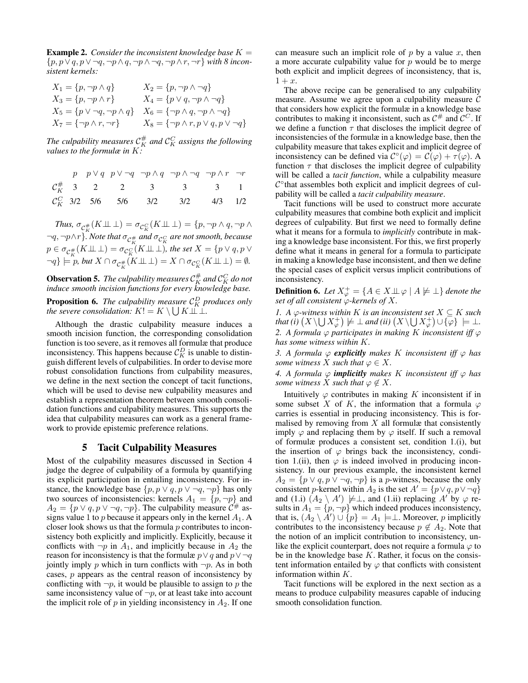**Example 2.** *Consider the inconsistent knowledge base*  $K =$ {p, p∨q, p∨ ¬q, ¬p∧q, ¬p∧ ¬q, ¬p∧r, ¬r} *with 8 inconsistent kernels:*

$$
X_1 = \{p, \neg p \land q\} \qquad X_2 = \{p, \neg p \land \neg q\}
$$
  
\n
$$
X_3 = \{p, \neg p \land r\} \qquad X_4 = \{p \lor q, \neg p \land \neg q\}
$$
  
\n
$$
X_5 = \{p \lor \neg q, \neg p \land q\} \qquad X_6 = \{\neg p \land q, \neg p \land \neg q\}
$$
  
\n
$$
X_7 = \{\neg p \land r, \neg r\} \qquad X_8 = \{\neg p \land r, p \lor q, p \lor \neg q\}
$$

The culpability measures  ${\cal C}^\#_K$  and  ${\cal C}^C_K$  assigns the following *values to the formulæ in* K*:*

|  |  | $p \quad p \lor q \quad p \lor \neg q \quad \neg p \land q \quad \neg p \land \neg q \quad \neg p \land r \quad \neg r$ |  |
|--|--|-------------------------------------------------------------------------------------------------------------------------|--|
|  |  | $C_K^{\#}$ 3 2 2 3 3 3 1                                                                                                |  |
|  |  | $\mathcal{C}_K^C$ 3/2 5/6 5/6 3/2 3/2 4/3 1/2                                                                           |  |

 $\mathit{Thus}, \ \sigma_{\mathcal{C}_K^{\#}}(K{\perp\!\!\!\perp\perp}) = \sigma_{\mathcal{C}_K^C}(K{\perp\!\!\!\perp\perp}) = \{p, \neg p \land q, \neg p \land q\}$  $\neg q, \neg p \wedge r$ *}. Note that*  $\sigma_{\mathcal{C}_{K}^{+}}$  and  $\sigma_{\mathcal{C}_{K}^{C}}$  are not smooth, because  $p\in \sigma_{\mathcal{C}^{\#}_{K}}(K{\perp\!\!\!\perp} \bot) = \sigma_{\mathcal{C}^{C}_{K}}(K{\perp\!\!\!\perp} \bot)$ , the set  $X=\{p\lor q, p\lor q\}$  $\neg q$ }  $\models p$ *, but*  $X \cap \sigma_{\mathcal{C}_K^{\#}}(K \perp \perp) = X \cap \sigma_{\mathcal{C}_K^C}(K \perp \perp \perp) = \emptyset$ *.* 

**Observation 5.** The culpability measures  $\mathcal{C}_K^{\#}$  and  $\mathcal{C}_K^C$  do not *induce smooth incision functions for every knowledge base.*

**Proposition 6.** The culpability measure  $\mathcal{C}_K^D$  produces only *the severe consolidation:*  $K! = K \setminus \bigcup K \perp \perp$ .

Although the drastic culpability measure induces a smooth incision function, the corresponding consolidation function is too severe, as it removes all formulæ that produce inconsistency. This happens because  $\mathcal{C}_K^D$  is unable to distinguish different levels of culpabilities. In order to devise more robust consolidation functions from culpability measures, we define in the next section the concept of tacit functions, which will be used to devise new culpability measures and establish a representation theorem between smooth consolidation functions and culpability measures. This supports the idea that culpability measures can work as a general framework to provide epistemic preference relations.

#### 5 Tacit Culpability Measures

Most of the culpability measures discussed in Section 4 judge the degree of culpability of a formula by quantifying its explicit participation in entailing inconsistency. For instance, the knowledge base  $\{p, p \lor q, p \lor \neg q, \neg p\}$  has only two sources of inconsistencies: kernels  $A_1 = \{p, \neg p\}$  and  $A_2 = \{p \lor q, p \lor \neg q, \neg p\}$ . The culpability measure  $\mathcal{C}^{\#}$  assigns value 1 to p because it appears only in the kernel  $A_1$ . A closer look shows us that the formula  $p$  contributes to inconsistency both explicitly and implicitly. Explicitly, because it conflicts with  $\neg p$  in  $A_1$ , and implicitly because in  $A_2$  the reason for inconsistency is that the formulæ  $p \lor q$  and  $p \lor \neg q$ jointly imply p which in turn conflicts with  $\neg p$ . As in both cases, p appears as the central reason of inconsistency by conflicting with  $\neg p$ , it would be plausible to assign to p the same inconsistency value of  $\neg p$ , or at least take into account the implicit role of  $p$  in yielding inconsistency in  $A_2$ . If one

can measure such an implicit role of  $p$  by a value  $x$ , then a more accurate culpability value for  $p$  would be to merge both explicit and implicit degrees of inconsistency, that is,  $1 + x$ .

The above recipe can be generalised to any culpability measure. Assume we agree upon a culpability measure  $\mathcal C$ that considers how explicit the formulæ in a knowledge base contributes to making it inconsistent, such as  $C^{\#}$  and  $C^C$ . If we define a function  $\tau$  that discloses the implicit degree of inconsistencies of the formulæ in a knowledge base, then the culpability measure that takes explicit and implicit degree of inconsistency can be defined via  $C^{\circ}(\varphi) = \overline{C}(\varphi) + \overline{\tau}(\varphi)$ . A function  $\tau$  that discloses the implicit degree of culpability will be called a *tacit function*, while a culpability measure C ◦ that assembles both explicit and implicit degrees of culpability will be called a *tacit culpability measure*.

Tacit functions will be used to construct more accurate culpability measures that combine both explicit and implicit degrees of culpability. But first we need to formally define what it means for a formula to *implicitly* contribute in making a knowledge base inconsistent. For this, we first properly define what it means in general for a formula to participate in making a knowledge base inconsistent, and then we define the special cases of explicit versus implicit contributions of inconsistency.

**Definition 6.** Let  $X^+_{\varphi} = \{A \in X \perp \!\!\! \perp \varphi \mid A \not\models \bot\}$  denote the *set of all consistent* ϕ*-kernels of* X*.*

*1. A*  $\varphi$ -witness within *K* is an inconsistent set  $X \subseteq K$  such  $\mathit{that}\,(i)\,\bigl(X\!\setminus\!\bigcup X^+_\varphi\bigr)\not\models\bot\mathit{and}\,(ii)\,\bigl(X\!\setminus\!\bigcup X^+_\varphi\bigr)\!\cup\!\{\varphi\}\ \models\bot.$ *2. A formula*  $\varphi$  *participates in making K inconsistent iff*  $\varphi$ *has some witness within* K*.*

*3. A formula*  $\varphi$  *explicitly makes K inconsistent iff*  $\varphi$  *has some witness* X *such that*  $\varphi \in X$ .

*4. A formula*  $\varphi$  *implicitly makes K inconsistent iff*  $\varphi$  *has some witness* X *such that*  $\varphi \notin X$ *.* 

Intuitively  $\varphi$  contributes in making K inconsistent if in some subset X of K, the information that a formula  $\varphi$ carries is essential in producing inconsistency. This is formalised by removing from  $X$  all formulæ that consistently imply  $\varphi$  and replacing them by  $\varphi$  itself. If such a removal of formulæ produces a consistent set, condition 1.(i), but the insertion of  $\varphi$  brings back the inconsistency, condition 1.(ii), then  $\varphi$  is indeed involved in producing inconsistency. In our previous example, the inconsistent kernel  $A_2 = \{p \lor q, p \lor \neg q, \neg p\}$  is a p-witness, because the only consistent p-kernel within  $A_2$  is the set  $A' = \{p \lor q, p \lor \neg q\}$ and (1.i)  $(A_2 \setminus A') \not\models \perp$ , and (1.ii) replacing A' by  $\varphi$  results in  $A_1 = \{p, \neg p\}$  which indeed produces inconsistency, that is,  $(A_2 \setminus \overline{A}') \cup \{p\} = A_1 \models \perp$ . Moreover, p implicitly contributes to the inconsistency because  $p \notin A_2$ . Note that the notion of an implicit contribution to inconsistency, unlike the explicit counterpart, does not require a formula  $\varphi$  to be in the knowledge base  $K$ . Rather, it focus on the consistent information entailed by  $\varphi$  that conflicts with consistent information within K.

Tacit functions will be explored in the next section as a means to produce culpability measures capable of inducing smooth consolidation function.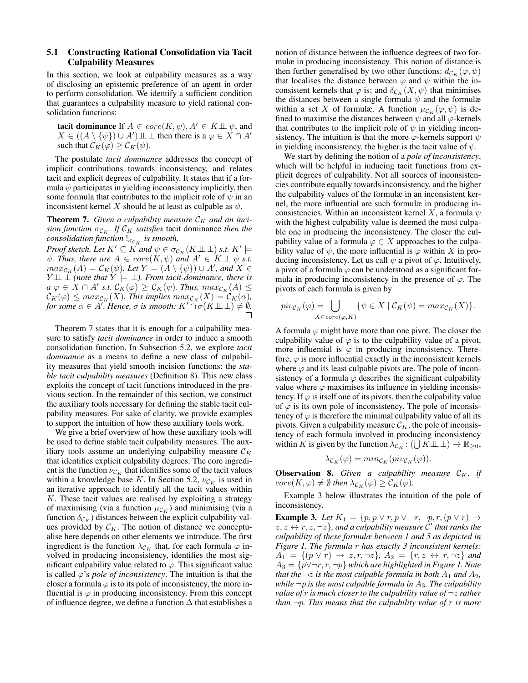### 5.1 Constructing Rational Consolidation via Tacit Culpability Measures

In this section, we look at culpability measures as a way of disclosing an epistemic preference of an agent in order to perform consolidation. We identify a sufficient condition that guarantees a culpability measure to yield rational consolidation functions:

**tacit dominance** If  $A \in core(K, \psi), A' \in K \perp \!\!\! \perp \psi$ , and  $X \in ((A \setminus \{\psi\}) \cup A') \perp \perp$  then there is a  $\varphi \in X \cap A'$ such that  $\mathcal{C}_K(\varphi) \geq \mathcal{C}_K(\psi)$ .

The postulate *tacit dominance* addresses the concept of implicit contributions towards inconsistency, and relates tacit and explicit degrees of culpability. It states that if a formula  $\psi$  participates in yielding inconsistency implicitly, then some formula that contributes to the implicit role of  $\psi$  in an inconsistent kernel X should be at least as culpable as  $\psi$ .

**Theorem 7.** Given a culpability measure  $\mathcal{C}_K$  and an inci*sion function*  $\sigma_{C_K}$ *. If*  $\mathcal{C}_K$  *satisfies* tacit dominance *then the*  $\mathit{consideron}\,f$ unction  $!_{\sigma c_K}$  is smooth.

*Proof sketch. Let*  $K' \subseteq K$  *and*  $\psi \in \sigma_{\mathcal{C}_K}(K \perp \perp)$  *s.t.*  $K' \models$  $\psi$ *. Thus, there are*  $A \in core(K, \psi)$  *and*  $A' \in K \perp \psi$  *s.t.*  $max_{\mathcal{C}_K}(A) = \mathcal{C}_K(\psi)$ *. Let*  $Y = (A \setminus \{\psi\}) \cup A'$ *, and*  $X \in$  $Y \perp \!\!\! \perp$  (note that  $Y \models \bot$ ). From tacit-dominance, there is  $a \varphi \in X \cap A'$  s.t.  $\mathcal{C}_K(\varphi) \geq \mathcal{C}_K(\psi)$ *. Thus,*  $max_{\mathcal{C}_K}(A) \leq$  $\mathcal{C}_K(\varphi) \leq \max_{\mathcal{C}_K}(X)$ . This implies  $\max_{\mathcal{C}_K}(X) = \mathcal{C}_K(\alpha)$ , *for some*  $\alpha \in A'$ . Hence,  $\sigma$  *is smooth:*  $K' \cap \sigma(K \perp \perp) \neq \emptyset$ .  $\Box$ 

Theorem 7 states that it is enough for a culpability measure to satisfy *tacit dominance* in order to induce a smooth consolidation function. In Subsection 5.2, we explore *tacit dominance* as a means to define a new class of culpability measures that yield smooth incision functions: the *stable tacit culpability measures* (Definition 8). This new class exploits the concept of tacit functions introduced in the previous section. In the remainder of this section, we construct the auxiliary tools necessary for defining the stable tacit culpability measures. For sake of clarity, we provide examples to support the intuition of how these auxiliary tools work.

We give a brief overview of how these auxiliary tools will be used to define stable tacit culpability measures. The auxiliary tools assume an underlying culpability measure  $\mathcal{C}_K$ that identifies explicit culpability degrees. The core ingredient is the function  $\nu_{C_K}$  that identifies some of the tacit values within a knowledge base K. In Section 5.2,  $\nu_{\mathcal{C}_K}$  is used in an iterative approach to identify all the tacit values within  $K$ . These tacit values are realised by exploiting a strategy of maximising (via a function  $\mu_{\mathcal{C}_K}$ ) and minimising (via a function  $\delta_{\mathcal{C}_K}$ ) distances between the explicit culpability values provided by  $\mathcal{C}_K$ . The notion of distance we conceptualise here depends on other elements we introduce. The first ingredient is the function  $\lambda_{\mathcal{C}_K}$  that, for each formula  $\varphi$  involved in producing inconsistency, identifies the most significant culpability value related to  $\varphi$ . This significant value is called  $\varphi$ 's *pole of inconsistency*. The intuition is that the closer a formula  $\varphi$  is to its pole of inconsistency, the more influential is  $\varphi$  in producing inconsistency. From this concept of influence degree, we define a function  $\Delta$  that establishes a

notion of distance between the influence degrees of two formulæ in producing inconsistency. This notion of distance is then further generalised by two other functions:  $d_{\mathcal{C}_K}(\varphi, \psi)$ that localises the distance between  $\varphi$  and  $\psi$  within the inconsistent kernels that  $\varphi$  is; and  $\delta_{\mathcal{C}_K}(X,\psi)$  that minimises the distances between a single formula  $\psi$  and the formulæ within a set X of formulæ. A function  $\mu_{\mathcal{C}_{K}}(\varphi, \psi)$  is defined to maximise the distances between  $\psi$  and all  $\varphi$ -kernels that contributes to the implicit role of  $\psi$  in yielding inconsistency. The intuition is that the more  $\varphi$ -kernels support  $\psi$ in yielding inconsistency, the higher is the tacit value of  $\psi$ .

We start by defining the notion of a *pole of inconsistency*, which will be helpful in inducing tacit functions from explicit degrees of culpability. Not all sources of inconsistencies contribute equally towards inconsistency, and the higher the culpability values of the formulæ in an inconsistent kernel, the more influential are such formulæ in producing inconsistencies. Within an inconsistent kernel X, a formula  $\psi$ with the highest culpability value is deemed the most culpable one in producing the inconsistency. The closer the culpability value of a formula  $\varphi \in X$  approaches to the culpability value of  $\psi$ , the more influential is  $\varphi$  within X in producing inconsistency. Let us call  $\psi$  a pivot of  $\varphi$ . Intuitively, a pivot of a formula  $\varphi$  can be understood as a significant formula in producing inconsistency in the presence of  $\varphi$ . The pivots of each formula is given by

$$
piv_{\mathcal{C}_K}(\varphi) = \bigcup_{X \in core(\varphi, K)} \{ \psi \in X \mid \mathcal{C}_K(\psi) = max_{\mathcal{C}_K}(X) \}.
$$

A formula  $\varphi$  might have more than one pivot. The closer the culpability value of  $\varphi$  is to the culpability value of a pivot, more influential is  $\varphi$  in producing inconsistency. Therefore,  $\varphi$  is more influential exactly in the inconsistent kernels where  $\varphi$  and its least culpable pivots are. The pole of inconsistency of a formula  $\varphi$  describes the significant culpability value where  $\varphi$  maximises its influence in yielding inconsistency. If  $\varphi$  is itself one of its pivots, then the culpability value of  $\varphi$  is its own pole of inconsistency. The pole of inconsistency of  $\varphi$  is therefore the minimal culpability value of all its pivots. Given a culpability measure  $\mathcal{C}_K$ , the pole of inconsistency of each formula involved in producing inconsistency within K is given by the function  $\lambda_{C_K} : (\bigcup K \perp \perp) \to \mathbb{R}_{\geq 0}$ ,

$$
\lambda_{\mathcal{C}_K}(\varphi) = \min_{\mathcal{C}_K} (\text{piv}_{\mathcal{C}_K}(\varphi)).
$$

**Observation 8.** Given a culpability measure  $\mathcal{C}_K$ , if  $core(K, \varphi) \neq \emptyset$  then  $\lambda_{\mathcal{C}_K}(\varphi) \geq \mathcal{C}_K(\varphi)$ .

Example 3 below illustrates the intuition of the pole of inconsistency.

**Example 3.** Let  $K_1 = \{p, p \lor r, p \lor \neg r, \neg p, r, (p \lor r) \rightarrow$  $z, z \leftrightarrow r, z, \neg z$ }, and a culpability measure C' that ranks the *culpability of these formulæ between 1 and 5 as depicted in Figure 1. The formula* r *has exactly 3 inconsistent kernels:*  $A_1 = \{(p \lor r) \to z, r, \neg z\}, A_2 = \{r, z \leftrightarrow r, \neg z\}$  and A<sup>3</sup> = {p∨¬r, r, ¬p} *which are highlighted in Figure 1. Note that the*  $\neg z$  *is the most culpable formula in both*  $A_1$  *and*  $A_2$ *, while*  $\neg p$  *is the most culpable formula in*  $A_3$ *. The culpability value of* r *is much closer to the culpability value of* ¬z *rather than* ¬p*. This means that the culpability value of* r *is more*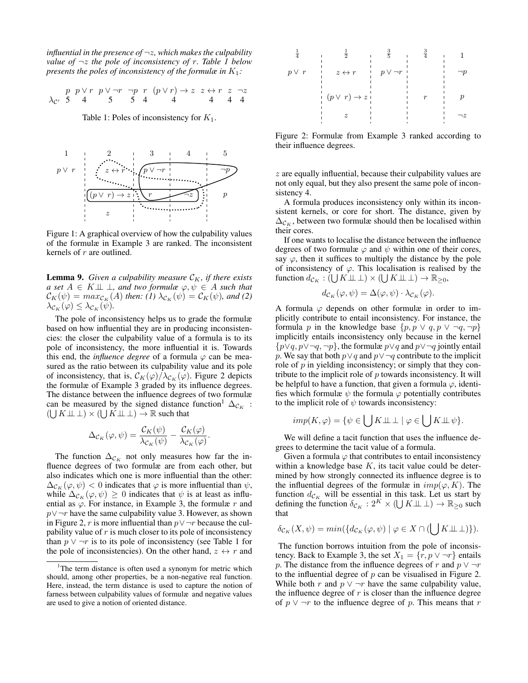*influential in the presence of* ¬z*, which makes the culpability value of* ¬z *the pole of inconsistency of* r*. Table 1 below presents the poles of inconsistency of the formulæ in*  $K_1$ *:* 

$$
\begin{array}{ccccccccc}\np & p & \vee r & p & \vee \neg r & \neg p & r & (p \vee r) \rightarrow z & z \leftrightarrow r & z & \neg z \\
\lambda_{\mathcal{C}'} & 5 & 4 & 5 & 5 & 4 & 4 & 4 & 4 & 4\n\end{array}
$$

Table 1: Poles of inconsistency for  $K_1$ .



Figure 1: A graphical overview of how the culpability values of the formulæ in Example 3 are ranked. The inconsistent kernels of  $r$  are outlined.

**Lemma 9.** *Given a culpability measure*  $\mathcal{C}_K$ *, if there exists*  $a$  set  $A \in K \perp \!\!\! \perp \perp$ , and two formulæ  $\varphi, \psi \in A$  such that  $\mathcal{C}_K(\psi) = max_{\mathcal{C}_K}(A)$  *then:* (1)  $\lambda_{\mathcal{C}_K}(\psi) = \mathcal{C}_K(\psi)$ *, and* (2)  $\lambda_{\mathcal{C}_K}(\varphi) \leq \lambda_{\mathcal{C}_K}(\psi).$ 

The pole of inconsistency helps us to grade the formulæ based on how influential they are in producing inconsistencies: the closer the culpability value of a formula is to its pole of inconsistency, the more influential it is. Towards this end, the *influence degree* of a formula  $\varphi$  can be measured as the ratio between its culpability value and its pole of inconsistency, that is,  $\mathcal{C}_K(\varphi)/\lambda_{\mathcal{C}_K}(\varphi)$ . Figure 2 depicts the formulæ of Example 3 graded by its influence degrees. The distance between the influence degrees of two formulæ can be measured by the signed distance function<sup>1</sup>  $\Delta_{\mathcal{C}_K}$ :  $(\bigcup K \perp \perp) \times (\bigcup \check{K} \perp \perp) \rightarrow \mathbb{R}$  such that

$$
\Delta_{\mathcal{C}_K}(\varphi, \psi) = \frac{\mathcal{C}_K(\psi)}{\lambda_{\mathcal{C}_K}(\psi)} - \frac{\mathcal{C}_K(\varphi)}{\lambda_{\mathcal{C}_K}(\varphi)}.
$$

The function  $\Delta_{\mathcal{C}_K}$  not only measures how far the influence degrees of two formulæ are from each other, but also indicates which one is more influential than the other:  $\Delta_{\mathcal{C}_K}(\varphi, \psi) < 0$  indicates that  $\varphi$  is more influential than  $\psi$ , while  $\Delta_{\mathcal{C}_K}(\varphi, \psi) \geq 0$  indicates that  $\psi$  is at least as influential as  $\varphi$ . For instance, in Example 3, the formulæ r and  $p \vee \neg r$  have the same culpability value 3. However, as shown in Figure 2, r is more influential than  $p \vee \neg r$  because the culpability value of  $r$  is much closer to its pole of inconsistency than  $p \vee \neg r$  is to its pole of inconsistency (see Table 1 for the pole of inconsistencies). On the other hand,  $z \leftrightarrow r$  and



Figure 2: Formulæ from Example 3 ranked according to their influence degrees.

 $z$  are equally influential, because their culpability values are not only equal, but they also present the same pole of inconsistency 4.

A formula produces inconsistency only within its inconsistent kernels, or core for short. The distance, given by  $\Delta_{\mathcal{C}_K}$ , between two formulæ should then be localised within their cores.

If one wants to localise the distance between the influence degrees of two formulæ  $\varphi$  and  $\psi$  within one of their cores, say  $\varphi$ , then it suffices to multiply the distance by the pole of inconsistency of  $\varphi$ . This localisation is realised by the function  $d_{\mathcal{C}_K}: (\bigcup K \perp \perp) \times (\bigcup K \perp \perp \perp) \to \mathbb{R}_{\geq 0},$ 

$$
d_{\mathcal{C}_K}(\varphi, \psi) = \Delta(\varphi, \psi) \cdot \lambda_{\mathcal{C}_K}(\varphi).
$$

A formula  $\varphi$  depends on other formulæ in order to implicitly contribute to entail inconsistency. For instance, the formula p in the knowledge base  $\{p, p \lor q, p \lor \neg q, \neg p\}$ implicitly entails inconsistency only because in the kernel  $\{p \lor q, p \lor \neg q, \neg p\}$ , the formulæ  $p \lor q$  and  $p \lor \neg q$  jointly entail p. We say that both  $p \lor q$  and  $p \lor \neg q$  contribute to the implicit role of  $p$  in yielding inconsistency; or simply that they contribute to the implicit role of  $p$  towards inconsistency. It will be helpful to have a function, that given a formula  $\varphi$ , identifies which formulæ  $\psi$  the formula  $\varphi$  potentially contributes to the implicit role of  $\psi$  towards inconsistency:

$$
imp(K,\varphi) = \{ \psi \in \bigcup K \perp \perp \mid \varphi \in \bigcup K \perp \perp \psi \}.
$$

We will define a tacit function that uses the influence degrees to determine the tacit value of a formula.

Given a formula  $\varphi$  that contributes to entail inconsistency within a knowledge base  $K$ , its tacit value could be determined by how strongly connected its influence degree is to the influential degrees of the formulæ in  $imp(\varphi, K)$ . The function  $d_{\mathcal{C}_K}$  will be essential in this task. Let us start by defining the function  $\delta_{\mathcal{C}_K}: 2^K \times (\bigcup K \perp \perp) \to \mathbb{R}_{\geq 0}$  such that

$$
\delta_{\mathcal{C}_K}(X,\psi)=\min(\{d_{\mathcal{C}_K}(\varphi,\psi)\mid \varphi\in X\cap (\bigcup K\!\perp\!\!\!\perp)\}).
$$

The function borrows intuition from the pole of inconsistency. Back to Example 3, the set  $X_1 = \{r, p \vee \neg r\}$  entails p. The distance from the influence degrees of r and  $p \vee \neg r$ to the influential degree of  $p$  can be visualised in Figure 2. While both r and  $p \vee \neg r$  have the same culpability value, the influence degree of  $r$  is closer than the influence degree of  $p \vee \neg r$  to the influence degree of p. This means that r

<sup>&</sup>lt;sup>1</sup>The term distance is often used a synonym for metric which should, among other properties, be a non-negative real function. Here, instead, the term distance is used to capture the notion of farness between culpability values of formulæ and negative values are used to give a notion of oriented distance.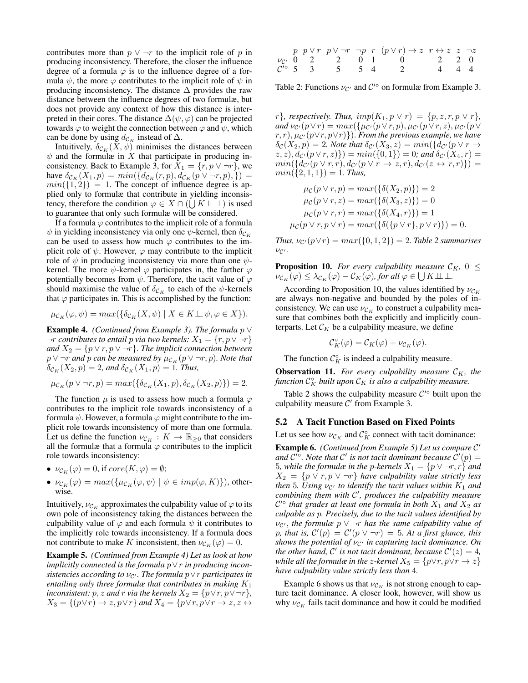contributes more than  $p \vee \neg r$  to the implicit role of p in producing inconsistency. Therefore, the closer the influence degree of a formula  $\varphi$  is to the influence degree of a formula  $\psi$ , the more  $\varphi$  contributes to the implicit role of  $\psi$  in producing inconsistency. The distance  $\Delta$  provides the raw distance between the influence degrees of two formulæ, but does not provide any context of how this distance is interpreted in their cores. The distance  $\Delta(\psi, \varphi)$  can be projected towards  $\varphi$  to weight the connection between  $\varphi$  and  $\psi$ , which can be done by using  $d_{\mathcal{C}_K}$  instead of  $\Delta$ .

Intuitively,  $\delta_{\mathcal{C}_K}(X,\psi)$  minimises the distances between  $\psi$  and the formulæ in X that participate in producing inconsistency. Back to Example 3, for  $X_1 = \{r, p \lor \neg r\}$ , we have  $\delta c_K(X_1, p) = min(\{d_{\mathcal{C}_K}(r, p), d_{\mathcal{C}_K}(p \vee \neg r, p), \}) =$  $min({1, 2}) = 1$ . The concept of influence degree is applied only to formulæ that contribute in yielding inconsistency, therefore the condition  $\varphi \in X \cap (\bigcup K \perp \perp)$  is used to guarantee that only such formulæ will be considered.

If a formula  $\varphi$  contributes to the implicit role of a formula  $\psi$  in yielding inconsistency via only one  $\psi$ -kernel, then  $\delta_{\mathcal{C}_K}$ can be used to assess how much  $\varphi$  contributes to the implicit role of  $\psi$ . However,  $\varphi$  may contribute to the implicit role of  $\psi$  in producing inconsistency via more than one  $\psi$ kernel. The more  $\psi$ -kernel  $\varphi$  participates in, the farther  $\varphi$ potentially becomes from  $\psi$ . Therefore, the tacit value of  $\varphi$ should maximise the value of  $\delta_{\mathcal{C}_K}$  to each of the  $\psi$ -kernels that  $\varphi$  participates in. This is accomplished by the function:

$$
\mu_{\mathcal{C}_K}(\varphi, \psi) = \max(\{\delta_{\mathcal{C}_K}(X, \psi) \mid X \in K \perp \!\!\!\perp \psi, \varphi \in X\}).
$$

Example 4. *(Continued from Example 3). The formula* p ∨  $\neg r$  *contributes to entail* p *via two kernels:*  $X_1 = \{r, p \lor \neg r\}$ *and*  $X_2 = \{p \lor r, p \lor \neg r\}$ *. The implicit connection between p* ∨ ¬*r and p can be measured by*  $\mu_{\mathcal{C}_K}(p \lor \neg r, p)$ *. Note that*  $\delta_{\mathcal{C}_K}(X_2, p) = 2$ , and  $\delta_{\mathcal{C}_K}(X_1, p) = 1$ *. Thus,* 

$$
\mu_{\mathcal{C}_K}(p \vee \neg r, p) = \max(\{\delta_{\mathcal{C}_K}(X_1, p), \delta_{\mathcal{C}_K}(X_2, p)\}) = 2.
$$

The function  $\mu$  is used to assess how much a formula  $\varphi$ contributes to the implicit role towards inconsistency of a formula  $\psi$ . However, a formula  $\varphi$  might contribute to the implicit role towards inconsistency of more than one formula. Let us define the function  $\nu_{\mathcal{C}_K} : K \to \mathbb{R}_{\geq 0}$  that considers all the formulæ that a formula  $\varphi$  contributes to the implicit role towards inconsistency:

- $\nu_{\mathcal{C}_K}(\varphi) = 0$ , if  $core(K, \varphi) = \emptyset$ ;
- $\nu_{\mathcal{C}_K}(\varphi) = \max(\{\mu_{\mathcal{C}_K}(\varphi, \psi) \mid \psi \in \text{imp}(\varphi, K)\}),$  otherwise.

Intuitively,  $\nu_{\mathcal{C}_K}$  approximates the culpability value of  $\varphi$  to its own pole of inconsistency taking the distances between the culpability value of  $\varphi$  and each formula  $\psi$  it contributes to the implicitly role towards inconsistency. If a formula does not contribute to make K inconsistent, then  $\nu_{\mathcal{C}_K}(\varphi) = 0$ .

Example 5. *(Continued from Example 4) Let us look at how implicitly connected is the formula* p∨r *in producing inconsistencies according to*  $\nu_{\mathcal{C}'}$ *. The formula*  $p \vee r$  *participates in entailing only three formulæ that contributes in making*  $K_1$ *inconsistent:*  $p$ *, z and r via the kernels*  $X_2 = \{p \lor r, p \lor \neg r\}$ ,  $X_3 = \{(p \lor r) \to z, p \lor r\}$  and  $X_4 = \{p \lor r, p \lor r \to z, z \leftrightarrow$ 

|  |                      |  | $p \quad p \lor r \quad p \lor \neg r \quad \neg p \quad r \quad (p \lor r) \rightarrow z \quad r \leftrightarrow z \quad z \quad \neg z$ |       |  |
|--|----------------------|--|-------------------------------------------------------------------------------------------------------------------------------------------|-------|--|
|  |                      |  | $\nu_{\mathcal{C}'}$ 0 2 2 0 1 0 2 2 0                                                                                                    |       |  |
|  | $C^{10}$ 5 3 5 5 4 2 |  |                                                                                                                                           | 4 4 4 |  |

Table 2: Functions  $\nu_{\mathcal{C}'}$  and  $\mathcal{C}'^{\circ}$  on formulæ from Example 3.

 $r$ *}, respectively. Thus, imp* $(K_1, p \lor r) = \{p, z, r, p \lor r\}$ *, and*  $\nu_{\mathcal{C}'}(p \vee r) = max(\{\mu_{\mathcal{C}'}(p \vee r, p), \mu_{\mathcal{C}'}(p \vee r, z), \mu_{\mathcal{C}'}(p \vee$  $(r, r), \mu_{\mathcal{C}'}(p\vee r, p\vee r) \}$ . *From the previous example, we have*  $\delta_{\mathcal{C}}(X_2, p) = 2$ *. Note that*  $\delta_{\mathcal{C}'}(X_3, z) = min(\{d_{\mathcal{C}'}(p \vee r \rightarrow$  $(z, z), d_{\mathcal{C}'}(p \vee r, z) \}) = min(\{0, 1\}) = 0$ ; and  $\delta_{\mathcal{C}'}(X_4, r) = 0$  $min({d_{\mathcal{C}'}(p \vee r, r), d_{\mathcal{C}'}(p \vee r \rightarrow z, r), d_{\mathcal{C}'}(z \leftrightarrow r, r)}) =$  $min({1, 1, 1}) = 1$ *. Thus,* 

$$
\mu_C(p \lor r, p) = max(\{\delta(X_2, p)\}) = 2 \n\mu_C(p \lor r, z) = max(\{\delta(X_3, z)\}) = 0 \n\mu_C(p \lor r, r) = max(\{\delta(X_4, r)\}) = 1 \n\mu_C(p \lor r, p \lor r) = max(\{\delta(\{p \lor r\}, p \lor r)\}) = 0.
$$

*Thus,*  $\nu_{\mathcal{C}}(p \vee r) = max(\{0, 1, 2\}) = 2$ *. Table 2 summarises*  $\nu_{\mathcal{C}'}$ .

**Proposition 10.** *For every culpability measure*  $\mathcal{C}_K$ ,  $0 \leq$  $\nu_{\mathcal{C}_K}(\varphi) \leq \lambda_{\mathcal{C}_K}(\varphi) - \mathcal{C}_K(\varphi)$ , for all  $\varphi \in \bigcup K \perp \perp$ .

According to Proposition 10, the values identified by  $\nu_{\mathcal{C}_K}$ are always non-negative and bounded by the poles of inconsistency. We can use  $\nu_{\mathcal{C}_K}$  to construct a culpability measure that combines both the explicitly and implicitly counterparts. Let  $\mathcal{C}_K$  be a culpability measure, we define

$$
\mathcal{C}_K^{\circ}(\varphi) = \mathcal{C}_K(\varphi) + \nu_{\mathcal{C}_K}(\varphi).
$$

The function  $\mathcal{C}_K^{\circ}$  is indeed a culpability measure.

**Observation 11.** For every culpability measure  $\mathcal{C}_K$ , the function  $\mathcal{C}^\circ_K$  built upon  $\mathcal{C}_K$  is also a culpability measure.

Table 2 shows the culpability measure  $\mathcal{C}'^{\circ}$  built upon the culpability measure  $C'$  from Example 3.

#### 5.2 A Tacit Function Based on Fixed Points

Let us see how  $\nu_{\mathcal{C}_K}$  and  $\mathcal{C}_K^{\circ}$  connect with tacit dominance:

Example 6. (Continued from Example 5) Let us compare C' and  $C^{I_{\odot}}$ . Note that  $C'$  is not tacit dominant because  $\hat{C}'(p)$  = 5*, while the formulæ in the p-kernels*  $X_1 = \{p \lor \neg r, r\}$  *and*  $X_2 = \{p \lor r, p \lor \neg r\}$  *have culpability value strictly less then* 5*. Using*  $\nu_{\mathcal{C}'}$  *to identify the tacit values within*  $K_1$  *and combining them with* C 0 *, produces the culpability measure*  $\mathcal{C}'^{\circ}$  that grades at least one formula in both  $X_1$  and  $X_2$  as *culpable as* p*. Precisely, due to the tacit values identified by*  $\nu_{\mathcal{C}}$ , *the formulæ*  $p \vee \neg r$  *has the same culpability value of* p, that is,  $\mathcal{C}'(p) = \mathcal{C}'(p \vee \neg r) = 5$ . At a first glance, this *shows the potential of*  $ν<sub>C'</sub>$  *in capturing tacit dominance. On the other hand,* C' is not tacit dominant, because  $C'(z) = 4$ , *while all the formulæ in the z-kernel*  $X_5 = \{p \lor r, p \lor r \to z\}$ *have culpability value strictly less than* 4*.*

Example 6 shows us that  $\nu_{C_K}$  is not strong enough to capture tacit dominance. A closer look, however, will show us why  $\nu_{C_K}$  fails tacit dominance and how it could be modified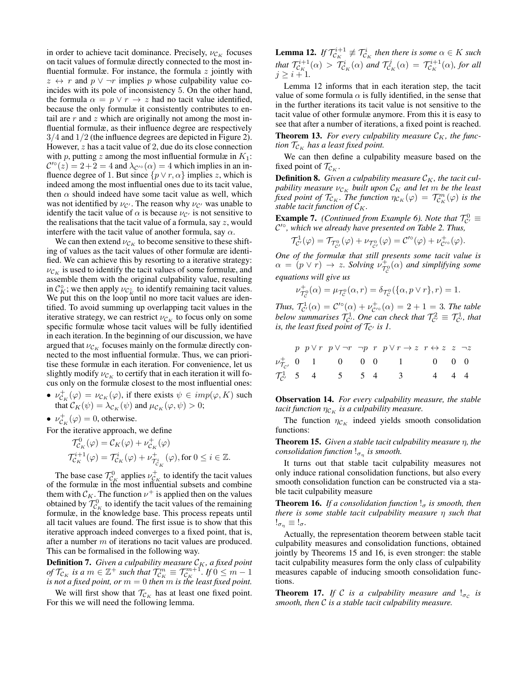in order to achieve tacit dominance. Precisely,  $\nu_{\mathcal{C}_K}$  focuses on tacit values of formulæ directly connected to the most influential formulæ. For instance, the formula  $z$  jointly with  $z \leftrightarrow r$  and  $p \vee \neg r$  implies p whose culpability value coincides with its pole of inconsistency 5. On the other hand, the formula  $\alpha = p \vee r \rightarrow z$  had no tacit value identified, because the only formulæ it consistently contributes to entail are  $r$  and  $z$  which are originally not among the most influential formulæ, as their influence degree are respectively 3/4 and 1/2 (the influence degrees are depicted in Figure 2). However, z has a tacit value of 2, due do its close connection with p, putting z among the most influential formulæ in  $K_1$ :  $\mathcal{C}^{\prime\circ}(z) = 2 + 2 = 4$  and  $\lambda_{\mathcal{C}^{\prime\circ}}(\alpha) = 4$  which implies in an influence degree of 1. But since  $\{p \lor r, \alpha\}$  implies z, which is indeed among the most influential ones due to its tacit value, then  $\alpha$  should indeed have some tacit value as well, which was not identified by  $\nu_{\mathcal{C}}$ . The reason why  $\nu_{\mathcal{C}}$  was unable to identify the tacit value of  $\alpha$  is because  $\nu_{\mathcal{C}'}$  is not sensitive to the realisations that the tacit value of a formula, say  $z$ , would interfere with the tacit value of another formula, say  $\alpha$ .

We can then extend  $\nu_{\mathcal{C}_K}$  to become sensitive to these shifting of values as the tacit values of other formulæ are identified. We can achieve this by resorting to a iterative strategy:  $\nu_{\mathcal{C}_K}$  is used to identify the tacit values of some formulæ, and assemble them with the original culpability value, resulting in  $C_K^{\circ}$ ; we then apply  $\nu_{C_K^{\circ}}$  to identify remaining tacit values. We put this on the loop until no more tacit values are identified. To avoid summing up overlapping tacit values in the iterative strategy, we can restrict  $\nu_{\mathcal{C}_K}$  to focus only on some specific formulæ whose tacit values will be fully identified in each iteration. In the beginning of our discussion, we have argued that  $\nu_{\mathcal{C}_K}$  focuses mainly on the formulæ directly connected to the most influential formulæ. Thus, we can prioritise these formulæ in each iteration. For convenience, let us slightly modify  $\nu_{\mathcal{C}_K}$  to certify that in each iteration it will focus only on the formulæ closest to the most influential ones:

- $\nu_{\mathcal{C}_K}^+(\varphi) = \nu_{\mathcal{C}_K}(\varphi)$ , if there exists  $\psi \in imp(\varphi, K)$  such that  $\mathcal{C}_K(\psi) = \lambda_{\mathcal{C}_K}(\psi)$  and  $\mu_{\mathcal{C}_K}(\varphi, \psi) > 0$ ;
- $\nu_{\mathcal{C}_K}^+(\varphi) = 0$ , otherwise.

For the iterative approach, we define

$$
\begin{aligned} \mathcal{T}^0_{\mathcal{C}_K}(\varphi) &= \mathcal{C}_K(\varphi) + \nu^+_{\mathcal{C}_K}(\varphi) \\ \mathcal{T}^{i+1}_{\mathcal{C}_K}(\varphi) &= \mathcal{T}^i_{\mathcal{C}_K}(\varphi) + \nu^+_{\mathcal{T}^i_{\mathcal{C}_K}}(\varphi), \text{for } 0 \le i \in \mathbb{Z}. \end{aligned}
$$

The base case  $\mathcal{T}_{\mathcal{C}_K}^0$  applies  $\nu_{\mathcal{C}_K}^+$  to identify the tacit values of the formulæ in the most influential subsets and combine them with  $\mathcal{C}_K$ . The function  $\nu^+$  is applied then on the values obtained by  $\mathcal{T}_{\mathcal{C}_K}^0$  to identify the tacit values of the remaining formulæ, in the knowledge base. This process repeats until all tacit values are found. The first issue is to show that this iterative approach indeed converges to a fixed point, that is, after a number m of iterations no tacit values are produced. This can be formalised in the following way.

**Definition 7.** Given a culpability measure  $\mathcal{C}_K$ , a fixed point *of*  $\mathcal{T}_{\mathcal{C}_K}$  *is a*  $m \in \mathbb{Z}^+$  *such that*  $\mathcal{T}_{\mathcal{C}_K}^m \equiv \mathcal{T}_{\mathcal{C}_K}^{m+1}$ . If  $0 \leq m-1$ *is not a fixed point, or* m = 0 *then* m *is the least fixed point.*

We will first show that  $T_{C_K}$  has at least one fixed point. For this we will need the following lemma.

**Lemma 12.** *If*  $\mathcal{T}_{\mathcal{C}_K}^{i+1} \not\equiv \mathcal{T}_{\mathcal{C}_K}^i$  then there is some  $\alpha \in K$  such *that*  $\mathcal{T}_{\mathcal{C}_K}^{i+1}(\alpha) > \mathcal{T}_{\mathcal{C}_K}^i(\alpha)$  and  $\mathcal{T}_{\mathcal{C}_K}^j(\alpha) = \mathcal{T}_{\mathcal{C}_K}^{i+1}(\alpha)$ , for all  $j \geq i+1$ .

Lemma 12 informs that in each iteration step, the tacit value of some formula  $\alpha$  is fully identified, in the sense that in the further iterations its tacit value is not sensitive to the tacit value of other formulæ anymore. From this it is easy to see that after a number of iterations, a fixed point is reached.

**Theorem 13.** For every culpability measure  $\mathcal{C}_K$ , the func*tion*  $T_{\mathcal{C}_K}$  *has a least fixed point.* 

We can then define a culpability measure based on the fixed point of  $\mathcal{T}_{\mathcal{C}_K}$ .

**Definition 8.** Given a culpability measure  $\mathcal{C}_K$ , the tacit cul*pability measure*  $\nu_{\mathcal{C}_K}$  *built upon*  $\mathcal{C}_K$  *and let m be the least fixed point of*  $\mathcal{T}_{\mathcal{C}_K}$ *. The function*  $\eta_{\mathcal{C}_K}(\varphi) = \mathcal{T}_{\mathcal{C}_K}^m(\varphi)$  *is the stable tacit function of*  $\mathcal{C}_K$ .

**Example 7.** *(Continued from Example 6). Note that*  $\mathcal{T}_{C'}^0 \equiv$ C 0◦*, which we already have presented on Table 2. Thus,*

$$
\mathcal{T}^1_{\mathcal{C}'}(\varphi)=\mathcal{T}_{\mathcal{T}^0_{\mathcal{C}'}}(\varphi)+\nu_{\mathcal{T}^0_{\mathcal{C}'}}(\varphi)=\mathcal{C}'^{\circ}(\varphi)+\nu_{\mathcal{C}'^{\circ}}^+(\varphi).
$$

*One of the formulæ that still presents some tacit value is*  $\alpha = (p \lor r) \to z$ . Solving  $\nu_{\mathcal{T}_{\mathcal{C}}}^{\dagger}(\alpha)$  and simplifying some *equations will give us*

$$
\nu_{\mathcal{T}_c^0}^+(\alpha) = \mu_{\mathcal{T}_c^0}(\alpha, r) = \delta_{\mathcal{T}_c^0}(\{\alpha, p \lor r\}, r) = 1.
$$

*Thus,*  $\mathcal{T}_{C'}^1(\alpha) = C'^{\circ}(\alpha) + \nu_{C'^{\circ}}^+(\alpha) = 2 + 1 = 3$ *. The table* below summarises  $\mathcal{T}_{\mathcal{C}'}^1$ . One can check that  $\mathcal{T}_{\mathcal{C}'}^2 \equiv \mathcal{T}_{\mathcal{C}'}^1$ , that *is, the least fixed point of*  $\mathcal{T}_{\mathcal{C}'}$  *is 1.* 

|  |  |  | $p\ \ p\ \lor\ r\ \ p\ \lor\ \neg r\ \ \neg p\ \ r\ \ p\ \lor\ r\ \rightarrow\ z\ \ r\ \leftrightarrow\ z\ \ z\ \ \neg z$ |  |  |
|--|--|--|---------------------------------------------------------------------------------------------------------------------------|--|--|
|  |  |  | $\nu_{\mathcal{T}_{C'}}^+$ 0 1 0 0 0 1 0 0 0                                                                              |  |  |
|  |  |  | $\mathcal{T}_{\mathcal{C}'}^1$ 5 4 5 5 4 3 4 4 4                                                                          |  |  |

Observation 14. *For every culpability measure, the stable tacit function*  $\eta_{\mathcal{C}_K}$  *is a culpability measure.* 

The function  $\eta_{\mathcal{C}_K}$  indeed yields smooth consolidation functions:

Theorem 15. *Given a stable tacit culpability measure* η*, the*  $conditional$ *ion function*  $!_{\sigma_{\eta}}$  *is smooth.* 

It turns out that stable tacit culpability measures not only induce rational consolidation functions, but also every smooth consolidation function can be constructed via a stable tacit culpability measure

**Theorem 16.** *If a consolidation function*  $\mathcal{L}_{\sigma}$  *is smooth, then there is some stable tacit culpability measure* η *such that*  $!_{\sigma_n} \equiv !_{\sigma}$ .

Actually, the representation theorem between stable tacit culpability measures and consolidation functions, obtained jointly by Theorems 15 and 16, is even stronger: the stable tacit culpability measures form the only class of culpability measures capable of inducing smooth consolidation functions.

**Theorem 17.** *If* C *is a culpability measure and*  $I_{\sigma_c}$  *is smooth, then* C *is a stable tacit culpability measure.*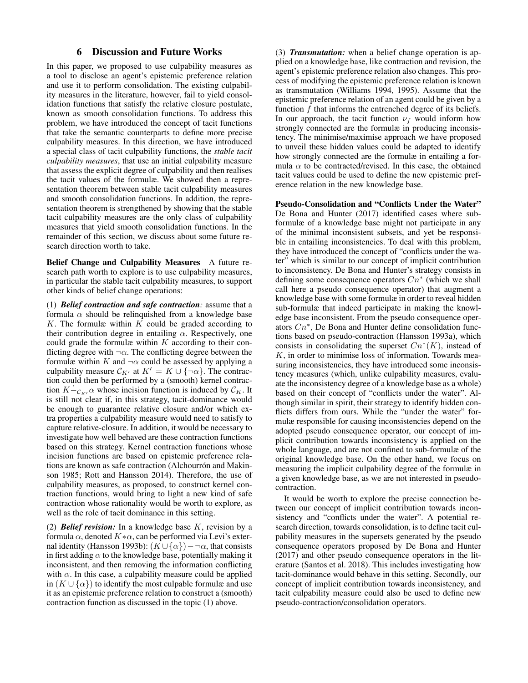# 6 Discussion and Future Works

In this paper, we proposed to use culpability measures as a tool to disclose an agent's epistemic preference relation and use it to perform consolidation. The existing culpability measures in the literature, however, fail to yield consolidation functions that satisfy the relative closure postulate, known as smooth consolidation functions. To address this problem, we have introduced the concept of tacit functions that take the semantic counterparts to define more precise culpability measures. In this direction, we have introduced a special class of tacit culpability functions, the *stable tacit culpability measures*, that use an initial culpability measure that assess the explicit degree of culpability and then realises the tacit values of the formulæ. We showed then a representation theorem between stable tacit culpability measures and smooth consolidation functions. In addition, the representation theorem is strengthened by showing that the stable tacit culpability measures are the only class of culpability measures that yield smooth consolidation functions. In the remainder of this section, we discuss about some future research direction worth to take.

Belief Change and Culpability Measures A future research path worth to explore is to use culpability measures, in particular the stable tacit culpability measures, to support other kinds of belief change operations:

(1) *Belief contraction and safe contraction:* assume that a formula  $\alpha$  should be relinquished from a knowledge base  $K$ . The formulæ within  $K$  could be graded according to their contribution degree in entailing  $\alpha$ . Respectively, one could grade the formulæ within  $K$  according to their conflicting degree with  $\neg \alpha$ . The conflicting degree between the formulæ within K and  $\neg \alpha$  could be assessed by applying a culpability measure  $\mathcal{C}_{K'}$  at  $K' = K \cup \{\neg \alpha\}$ . The contraction could then be performed by a (smooth) kernel contraction  $K-_{\mathcal{C}_{K}}\alpha$  whose incision function is induced by  $\mathcal{C}_{K}$ . It is still not clear if, in this strategy, tacit-dominance would be enough to guarantee relative closure and/or which extra properties a culpability measure would need to satisfy to capture relative-closure. In addition, it would be necessary to investigate how well behaved are these contraction functions based on this strategy. Kernel contraction functions whose incision functions are based on epistemic preference relations are known as safe contraction (Alchourrón and Makinson 1985; Rott and Hansson 2014). Therefore, the use of culpability measures, as proposed, to construct kernel contraction functions, would bring to light a new kind of safe contraction whose rationality would be worth to explore, as well as the role of tacit dominance in this setting.

(2) *Belief revision:* In a knowledge base K, revision by a formula  $\alpha$ , denoted  $K^*\alpha$ , can be performed via Levi's external identity (Hansson 1993b):  $(K \cup \{\alpha\}) - \neg \alpha$ , that consists in first adding  $\alpha$  to the knowledge base, potentially making it inconsistent, and then removing the information conflicting with  $\alpha$ . In this case, a culpability measure could be applied in  $(K \cup \{\alpha\})$  to identify the most culpable formulæ and use it as an epistemic preference relation to construct a (smooth) contraction function as discussed in the topic (1) above.

(3) *Transmutation:* when a belief change operation is applied on a knowledge base, like contraction and revision, the agent's epistemic preference relation also changes. This process of modifying the epistemic preference relation is known as transmutation (Williams 1994, 1995). Assume that the epistemic preference relation of an agent could be given by a function f that informs the entrenched degree of its beliefs. In our approach, the tacit function  $\nu_f$  would inform how strongly connected are the formulæ in producing inconsistency. The minimise/maximise approach we have proposed to unveil these hidden values could be adapted to identify how strongly connected are the formulæ in entailing a formula  $\alpha$  to be contracted/revised. In this case, the obtained tacit values could be used to define the new epistemic preference relation in the new knowledge base.

Pseudo-Consolidation and "Conflicts Under the Water" De Bona and Hunter (2017) identified cases where subformulæ of a knowledge base might not participate in any of the minimal inconsistent subsets, and yet be responsible in entailing inconsistencies. To deal with this problem, they have introduced the concept of "conflicts under the water" which is similar to our concept of implicit contribution to inconsistency. De Bona and Hunter's strategy consists in defining some consequence operators  $Cn^*$  (which we shall call here a pseudo consequence operator) that augment a knowledge base with some formulæ in order to reveal hidden sub-formulæ that indeed participate in making the knowledge base inconsistent. From the pseudo consequence operators Cn<sup>∗</sup> , De Bona and Hunter define consolidation functions based on pseudo-contraction (Hansson 1993a), which consists in consolidating the superset  $Cn^*(K)$ , instead of  $K$ , in order to minimise loss of information. Towards measuring inconsistencies, they have introduced some inconsistency measures (which, unlike culpability measures, evaluate the inconsistency degree of a knowledge base as a whole) based on their concept of "conflicts under the water". Although similar in spirit, their strategy to identify hidden conflicts differs from ours. While the "under the water" formulæ responsible for causing inconsistencies depend on the adopted pseudo consequence operator, our concept of implicit contribution towards inconsistency is applied on the whole language, and are not confined to sub-formulæ of the original knowledge base. On the other hand, we focus on measuring the implicit culpability degree of the formulæ in a given knowledge base, as we are not interested in pseudocontraction.

It would be worth to explore the precise connection between our concept of implicit contribution towards inconsistency and "conflicts under the water". A potential research direction, towards consolidation, is to define tacit culpability measures in the supersets generated by the pseudo consequence operators proposed by De Bona and Hunter (2017) and other pseudo consequence operators in the literature (Santos et al. 2018). This includes investigating how tacit-dominance would behave in this setting. Secondly, our concept of implicit contribution towards inconsistency, and tacit culpability measure could also be used to define new pseudo-contraction/consolidation operators.